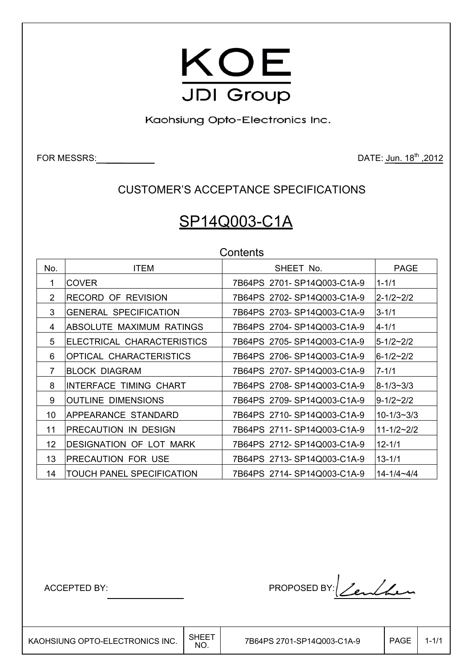

Kaohsiung Opto-Electronics Inc.

FOR MESSRS: 2012

CUSTOMER'S ACCEPTANCE SPECIFICATIONS

# SP14Q003-C1A

**Contents** 

| No.            | <b>ITEM</b>                      | SHEET No.                  | <b>PAGE</b>      |
|----------------|----------------------------------|----------------------------|------------------|
| 1.             | <b>COVER</b>                     | 7B64PS 2701-SP14Q003-C1A-9 | $1 - 1/1$        |
| $\overline{2}$ | RECORD OF REVISION               | 7B64PS 2702-SP14Q003-C1A-9 | $2 - 1/2 - 2/2$  |
| 3              | <b>GENERAL SPECIFICATION</b>     | 7B64PS 2703-SP14Q003-C1A-9 | $3 - 1/1$        |
| 4              | ABSOLUTE MAXIMUM RATINGS         | 7B64PS 2704-SP14Q003-C1A-9 | $4 - 1/1$        |
| 5              | ELECTRICAL CHARACTERISTICS       | 7B64PS 2705-SP14Q003-C1A-9 | $5 - 1/2 - 2/2$  |
| 6              | OPTICAL CHARACTERISTICS          | 7B64PS 2706-SP14Q003-C1A-9 | $6 - 1/2 - 2/2$  |
| $\overline{7}$ | <b>BLOCK DIAGRAM</b>             | 7B64PS 2707-SP14Q003-C1A-9 | $7 - 1/1$        |
| 8              | INTERFACE TIMING CHART           | 7B64PS 2708-SP14Q003-C1A-9 | l8-1/3~3/3       |
| 9              | <b>OUTLINE DIMENSIONS</b>        | 7B64PS 2709-SP14Q003-C1A-9 | 9-1/2~2/2        |
| 10             | APPEARANCE STANDARD              | 7B64PS 2710-SP14Q003-C1A-9 | $10 - 1/3 - 3/3$ |
| 11             | PRECAUTION IN DESIGN             | 7B64PS 2711-SP14Q003-C1A-9 | 11-1/2~2/2       |
| 12             | DESIGNATION OF LOT MARK          | 7B64PS 2712-SP14Q003-C1A-9 | $12 - 1/1$       |
| 13             | <b>PRECAUTION FOR USE</b>        | 7B64PS 2713-SP14Q003-C1A-9 | 13-1/1           |
| 14             | <b>TOUCH PANEL SPECIFICATION</b> | 7B64PS 2714-SP14Q003-C1A-9 | 14-1/4~4/4       |

ACCEPTED BY: PROPOSED BY: <u>Lendan</u>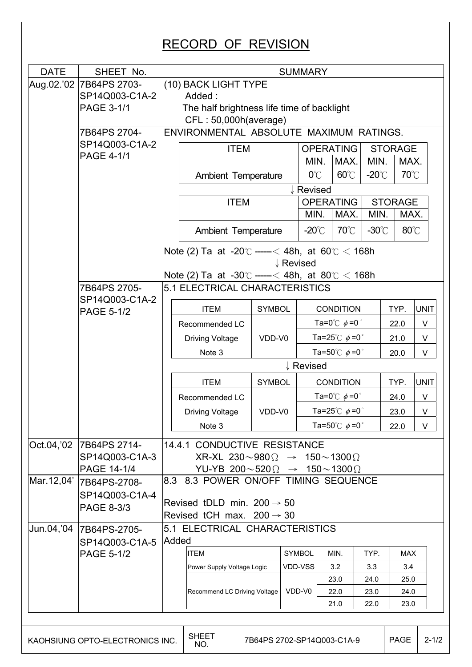| Aug.02.'02 7B64PS 2703-<br>(10) BACK LIGHT TYPE<br>SP14Q003-C1A-2<br>Added:<br>PAGE 3-1/1<br>The half brightness life time of backlight<br>CFL: 50,000h(average)<br>ENVIRONMENTAL ABSOLUTE MAXIMUM RATINGS.<br>7B64PS 2704-<br>SP14Q003-C1A-2<br><b>OPERATING</b><br><b>ITEM</b><br><b>STORAGE</b><br>PAGE 4-1/1<br>MAX.<br>MIN.<br>MAX.<br>MIN.<br>$60^{\circ}$ C<br>$-20^{\circ}$ C<br>$0^{\circ}$ C<br>Ambient Temperature<br>↓ Revised<br><b>ITEM</b><br><b>OPERATING</b><br><b>STORAGE</b><br>MAX.<br>MIN.<br>MAX.<br>MIN.<br>$70^{\circ}$ C<br>$-30^{\circ}$ C<br>$80^{\circ}$ C<br>$-20^{\circ}$ C<br>Ambient Temperature<br>Note (2) Ta at -20 $\degree$ ----- < 48h, at 60 $\degree$ < 168h<br>↓ Revised<br>Note (2) Ta at -30°C -----< 48h, at 80°C < 168h<br>7B64PS 2705-<br>5.1 ELECTRICAL CHARACTERISTICS<br>SP14Q003-C1A-2<br><b>ITEM</b><br><b>SYMBOL</b><br><b>CONDITION</b><br>TYP.<br><b>PAGE 5-1/2</b><br>Ta=0 $\degree$ C $\phi$ =0 $\degree$<br>Recommended LC<br>22.0<br>Ta=25°C $\phi$ =0°<br><b>Driving Voltage</b><br>VDD-V0<br>21.0<br>Ta=50 $^{\circ}$ C $\phi$ =0 $^{\circ}$<br>Note 3<br>20.0<br>↓ Revised<br>TYP.<br><b>ITEM</b><br><b>SYMBOL</b><br><b>CONDITION</b><br>Ta=0 $^{\circ}$ C $\phi$ =0 $^{\circ}$<br>24.0<br>Recommended LC<br>Ta=25 $^{\circ}$ C $\phi$ =0 $^{\circ}$<br><b>Driving Voltage</b><br>VDD-V0<br>23.0<br>Ta=50 $^{\circ}$ C $\phi$ =0 $^{\circ}$<br>Note 3<br>22.0<br>14.4.1 CONDUCTIVE RESISTANCE<br>7B64PS 2714-<br>SP14Q003-C1A-3<br>$XR-XL$ 230~980 $\Omega \rightarrow 150 \sim 1300 \Omega$<br>PAGE 14-1/4<br>YU-YB 200 $\sim$ 520 $\Omega \rightarrow 150\sim$ 1300 $\Omega$<br>8.3 8.3 POWER ON/OFF TIMING SEQUENCE<br>7B64PS-2708-<br>SP14Q003-C1A-4<br>Revised tDLD min. $200 \rightarrow 50$<br>PAGE 8-3/3<br>Revised tCH max. $200 \rightarrow 30$<br>Jun.04,'04<br>5.1 ELECTRICAL CHARACTERISTICS<br>7B64PS-2705-<br>Added<br>SP14Q003-C1A-5<br><b>ITEM</b><br><b>SYMBOL</b><br><b>PAGE 5-1/2</b><br>MIN.<br>TYP.<br>MAX<br>VDD-VSS<br>3.2<br>3.3<br>3.4<br>Power Supply Voltage Logic<br>23.0<br>25.0<br>24.0 |  |                              |  |        |   |      |      |      |             |  |  |  |  |  |  |
|--------------------------------------------------------------------------------------------------------------------------------------------------------------------------------------------------------------------------------------------------------------------------------------------------------------------------------------------------------------------------------------------------------------------------------------------------------------------------------------------------------------------------------------------------------------------------------------------------------------------------------------------------------------------------------------------------------------------------------------------------------------------------------------------------------------------------------------------------------------------------------------------------------------------------------------------------------------------------------------------------------------------------------------------------------------------------------------------------------------------------------------------------------------------------------------------------------------------------------------------------------------------------------------------------------------------------------------------------------------------------------------------------------------------------------------------------------------------------------------------------------------------------------------------------------------------------------------------------------------------------------------------------------------------------------------------------------------------------------------------------------------------------------------------------------------------------------------------------------------------------------------------------------------------------------------------------------------------------------------------------------------------------------------------------------------------------------------|--|------------------------------|--|--------|---|------|------|------|-------------|--|--|--|--|--|--|
|                                                                                                                                                                                                                                                                                                                                                                                                                                                                                                                                                                                                                                                                                                                                                                                                                                                                                                                                                                                                                                                                                                                                                                                                                                                                                                                                                                                                                                                                                                                                                                                                                                                                                                                                                                                                                                                                                                                                                                                                                                                                                      |  |                              |  |        |   |      |      |      |             |  |  |  |  |  |  |
|                                                                                                                                                                                                                                                                                                                                                                                                                                                                                                                                                                                                                                                                                                                                                                                                                                                                                                                                                                                                                                                                                                                                                                                                                                                                                                                                                                                                                                                                                                                                                                                                                                                                                                                                                                                                                                                                                                                                                                                                                                                                                      |  |                              |  |        |   |      |      |      |             |  |  |  |  |  |  |
| Oct.04,'02                                                                                                                                                                                                                                                                                                                                                                                                                                                                                                                                                                                                                                                                                                                                                                                                                                                                                                                                                                                                                                                                                                                                                                                                                                                                                                                                                                                                                                                                                                                                                                                                                                                                                                                                                                                                                                                                                                                                                                                                                                                                           |  |                              |  |        |   |      |      |      |             |  |  |  |  |  |  |
|                                                                                                                                                                                                                                                                                                                                                                                                                                                                                                                                                                                                                                                                                                                                                                                                                                                                                                                                                                                                                                                                                                                                                                                                                                                                                                                                                                                                                                                                                                                                                                                                                                                                                                                                                                                                                                                                                                                                                                                                                                                                                      |  |                              |  |        |   |      |      |      |             |  |  |  |  |  |  |
|                                                                                                                                                                                                                                                                                                                                                                                                                                                                                                                                                                                                                                                                                                                                                                                                                                                                                                                                                                                                                                                                                                                                                                                                                                                                                                                                                                                                                                                                                                                                                                                                                                                                                                                                                                                                                                                                                                                                                                                                                                                                                      |  |                              |  |        |   |      |      |      |             |  |  |  |  |  |  |
|                                                                                                                                                                                                                                                                                                                                                                                                                                                                                                                                                                                                                                                                                                                                                                                                                                                                                                                                                                                                                                                                                                                                                                                                                                                                                                                                                                                                                                                                                                                                                                                                                                                                                                                                                                                                                                                                                                                                                                                                                                                                                      |  |                              |  |        |   |      |      |      |             |  |  |  |  |  |  |
|                                                                                                                                                                                                                                                                                                                                                                                                                                                                                                                                                                                                                                                                                                                                                                                                                                                                                                                                                                                                                                                                                                                                                                                                                                                                                                                                                                                                                                                                                                                                                                                                                                                                                                                                                                                                                                                                                                                                                                                                                                                                                      |  |                              |  |        |   |      |      |      |             |  |  |  |  |  |  |
|                                                                                                                                                                                                                                                                                                                                                                                                                                                                                                                                                                                                                                                                                                                                                                                                                                                                                                                                                                                                                                                                                                                                                                                                                                                                                                                                                                                                                                                                                                                                                                                                                                                                                                                                                                                                                                                                                                                                                                                                                                                                                      |  |                              |  |        |   |      | 70°C |      |             |  |  |  |  |  |  |
|                                                                                                                                                                                                                                                                                                                                                                                                                                                                                                                                                                                                                                                                                                                                                                                                                                                                                                                                                                                                                                                                                                                                                                                                                                                                                                                                                                                                                                                                                                                                                                                                                                                                                                                                                                                                                                                                                                                                                                                                                                                                                      |  |                              |  |        |   |      |      |      |             |  |  |  |  |  |  |
|                                                                                                                                                                                                                                                                                                                                                                                                                                                                                                                                                                                                                                                                                                                                                                                                                                                                                                                                                                                                                                                                                                                                                                                                                                                                                                                                                                                                                                                                                                                                                                                                                                                                                                                                                                                                                                                                                                                                                                                                                                                                                      |  |                              |  |        |   |      |      |      |             |  |  |  |  |  |  |
|                                                                                                                                                                                                                                                                                                                                                                                                                                                                                                                                                                                                                                                                                                                                                                                                                                                                                                                                                                                                                                                                                                                                                                                                                                                                                                                                                                                                                                                                                                                                                                                                                                                                                                                                                                                                                                                                                                                                                                                                                                                                                      |  |                              |  |        |   |      |      |      |             |  |  |  |  |  |  |
|                                                                                                                                                                                                                                                                                                                                                                                                                                                                                                                                                                                                                                                                                                                                                                                                                                                                                                                                                                                                                                                                                                                                                                                                                                                                                                                                                                                                                                                                                                                                                                                                                                                                                                                                                                                                                                                                                                                                                                                                                                                                                      |  |                              |  |        |   |      |      |      |             |  |  |  |  |  |  |
|                                                                                                                                                                                                                                                                                                                                                                                                                                                                                                                                                                                                                                                                                                                                                                                                                                                                                                                                                                                                                                                                                                                                                                                                                                                                                                                                                                                                                                                                                                                                                                                                                                                                                                                                                                                                                                                                                                                                                                                                                                                                                      |  |                              |  |        |   |      |      |      |             |  |  |  |  |  |  |
|                                                                                                                                                                                                                                                                                                                                                                                                                                                                                                                                                                                                                                                                                                                                                                                                                                                                                                                                                                                                                                                                                                                                                                                                                                                                                                                                                                                                                                                                                                                                                                                                                                                                                                                                                                                                                                                                                                                                                                                                                                                                                      |  |                              |  |        |   |      |      |      |             |  |  |  |  |  |  |
|                                                                                                                                                                                                                                                                                                                                                                                                                                                                                                                                                                                                                                                                                                                                                                                                                                                                                                                                                                                                                                                                                                                                                                                                                                                                                                                                                                                                                                                                                                                                                                                                                                                                                                                                                                                                                                                                                                                                                                                                                                                                                      |  |                              |  |        |   |      |      |      |             |  |  |  |  |  |  |
|                                                                                                                                                                                                                                                                                                                                                                                                                                                                                                                                                                                                                                                                                                                                                                                                                                                                                                                                                                                                                                                                                                                                                                                                                                                                                                                                                                                                                                                                                                                                                                                                                                                                                                                                                                                                                                                                                                                                                                                                                                                                                      |  |                              |  |        |   |      |      |      |             |  |  |  |  |  |  |
|                                                                                                                                                                                                                                                                                                                                                                                                                                                                                                                                                                                                                                                                                                                                                                                                                                                                                                                                                                                                                                                                                                                                                                                                                                                                                                                                                                                                                                                                                                                                                                                                                                                                                                                                                                                                                                                                                                                                                                                                                                                                                      |  |                              |  |        |   |      |      |      | <b>UNIT</b> |  |  |  |  |  |  |
|                                                                                                                                                                                                                                                                                                                                                                                                                                                                                                                                                                                                                                                                                                                                                                                                                                                                                                                                                                                                                                                                                                                                                                                                                                                                                                                                                                                                                                                                                                                                                                                                                                                                                                                                                                                                                                                                                                                                                                                                                                                                                      |  |                              |  |        |   |      |      |      | V           |  |  |  |  |  |  |
| Mar.12,04'                                                                                                                                                                                                                                                                                                                                                                                                                                                                                                                                                                                                                                                                                                                                                                                                                                                                                                                                                                                                                                                                                                                                                                                                                                                                                                                                                                                                                                                                                                                                                                                                                                                                                                                                                                                                                                                                                                                                                                                                                                                                           |  |                              |  |        |   |      |      |      | V           |  |  |  |  |  |  |
|                                                                                                                                                                                                                                                                                                                                                                                                                                                                                                                                                                                                                                                                                                                                                                                                                                                                                                                                                                                                                                                                                                                                                                                                                                                                                                                                                                                                                                                                                                                                                                                                                                                                                                                                                                                                                                                                                                                                                                                                                                                                                      |  |                              |  |        |   |      |      |      | V           |  |  |  |  |  |  |
|                                                                                                                                                                                                                                                                                                                                                                                                                                                                                                                                                                                                                                                                                                                                                                                                                                                                                                                                                                                                                                                                                                                                                                                                                                                                                                                                                                                                                                                                                                                                                                                                                                                                                                                                                                                                                                                                                                                                                                                                                                                                                      |  |                              |  |        |   |      |      |      |             |  |  |  |  |  |  |
|                                                                                                                                                                                                                                                                                                                                                                                                                                                                                                                                                                                                                                                                                                                                                                                                                                                                                                                                                                                                                                                                                                                                                                                                                                                                                                                                                                                                                                                                                                                                                                                                                                                                                                                                                                                                                                                                                                                                                                                                                                                                                      |  |                              |  |        |   |      |      |      | <b>UNIT</b> |  |  |  |  |  |  |
|                                                                                                                                                                                                                                                                                                                                                                                                                                                                                                                                                                                                                                                                                                                                                                                                                                                                                                                                                                                                                                                                                                                                                                                                                                                                                                                                                                                                                                                                                                                                                                                                                                                                                                                                                                                                                                                                                                                                                                                                                                                                                      |  |                              |  |        |   |      |      |      | V           |  |  |  |  |  |  |
|                                                                                                                                                                                                                                                                                                                                                                                                                                                                                                                                                                                                                                                                                                                                                                                                                                                                                                                                                                                                                                                                                                                                                                                                                                                                                                                                                                                                                                                                                                                                                                                                                                                                                                                                                                                                                                                                                                                                                                                                                                                                                      |  |                              |  |        |   |      |      |      | V           |  |  |  |  |  |  |
|                                                                                                                                                                                                                                                                                                                                                                                                                                                                                                                                                                                                                                                                                                                                                                                                                                                                                                                                                                                                                                                                                                                                                                                                                                                                                                                                                                                                                                                                                                                                                                                                                                                                                                                                                                                                                                                                                                                                                                                                                                                                                      |  |                              |  |        |   |      |      |      |             |  |  |  |  |  |  |
|                                                                                                                                                                                                                                                                                                                                                                                                                                                                                                                                                                                                                                                                                                                                                                                                                                                                                                                                                                                                                                                                                                                                                                                                                                                                                                                                                                                                                                                                                                                                                                                                                                                                                                                                                                                                                                                                                                                                                                                                                                                                                      |  |                              |  |        | V |      |      |      |             |  |  |  |  |  |  |
|                                                                                                                                                                                                                                                                                                                                                                                                                                                                                                                                                                                                                                                                                                                                                                                                                                                                                                                                                                                                                                                                                                                                                                                                                                                                                                                                                                                                                                                                                                                                                                                                                                                                                                                                                                                                                                                                                                                                                                                                                                                                                      |  |                              |  |        |   |      |      |      |             |  |  |  |  |  |  |
|                                                                                                                                                                                                                                                                                                                                                                                                                                                                                                                                                                                                                                                                                                                                                                                                                                                                                                                                                                                                                                                                                                                                                                                                                                                                                                                                                                                                                                                                                                                                                                                                                                                                                                                                                                                                                                                                                                                                                                                                                                                                                      |  |                              |  |        |   |      |      |      |             |  |  |  |  |  |  |
|                                                                                                                                                                                                                                                                                                                                                                                                                                                                                                                                                                                                                                                                                                                                                                                                                                                                                                                                                                                                                                                                                                                                                                                                                                                                                                                                                                                                                                                                                                                                                                                                                                                                                                                                                                                                                                                                                                                                                                                                                                                                                      |  |                              |  |        |   |      |      |      |             |  |  |  |  |  |  |
|                                                                                                                                                                                                                                                                                                                                                                                                                                                                                                                                                                                                                                                                                                                                                                                                                                                                                                                                                                                                                                                                                                                                                                                                                                                                                                                                                                                                                                                                                                                                                                                                                                                                                                                                                                                                                                                                                                                                                                                                                                                                                      |  |                              |  |        |   |      |      |      |             |  |  |  |  |  |  |
|                                                                                                                                                                                                                                                                                                                                                                                                                                                                                                                                                                                                                                                                                                                                                                                                                                                                                                                                                                                                                                                                                                                                                                                                                                                                                                                                                                                                                                                                                                                                                                                                                                                                                                                                                                                                                                                                                                                                                                                                                                                                                      |  |                              |  |        |   |      |      |      |             |  |  |  |  |  |  |
|                                                                                                                                                                                                                                                                                                                                                                                                                                                                                                                                                                                                                                                                                                                                                                                                                                                                                                                                                                                                                                                                                                                                                                                                                                                                                                                                                                                                                                                                                                                                                                                                                                                                                                                                                                                                                                                                                                                                                                                                                                                                                      |  |                              |  |        |   |      |      |      |             |  |  |  |  |  |  |
|                                                                                                                                                                                                                                                                                                                                                                                                                                                                                                                                                                                                                                                                                                                                                                                                                                                                                                                                                                                                                                                                                                                                                                                                                                                                                                                                                                                                                                                                                                                                                                                                                                                                                                                                                                                                                                                                                                                                                                                                                                                                                      |  |                              |  |        |   |      |      |      |             |  |  |  |  |  |  |
|                                                                                                                                                                                                                                                                                                                                                                                                                                                                                                                                                                                                                                                                                                                                                                                                                                                                                                                                                                                                                                                                                                                                                                                                                                                                                                                                                                                                                                                                                                                                                                                                                                                                                                                                                                                                                                                                                                                                                                                                                                                                                      |  |                              |  |        |   |      |      |      |             |  |  |  |  |  |  |
|                                                                                                                                                                                                                                                                                                                                                                                                                                                                                                                                                                                                                                                                                                                                                                                                                                                                                                                                                                                                                                                                                                                                                                                                                                                                                                                                                                                                                                                                                                                                                                                                                                                                                                                                                                                                                                                                                                                                                                                                                                                                                      |  |                              |  |        |   |      |      |      |             |  |  |  |  |  |  |
|                                                                                                                                                                                                                                                                                                                                                                                                                                                                                                                                                                                                                                                                                                                                                                                                                                                                                                                                                                                                                                                                                                                                                                                                                                                                                                                                                                                                                                                                                                                                                                                                                                                                                                                                                                                                                                                                                                                                                                                                                                                                                      |  |                              |  |        |   |      |      |      |             |  |  |  |  |  |  |
|                                                                                                                                                                                                                                                                                                                                                                                                                                                                                                                                                                                                                                                                                                                                                                                                                                                                                                                                                                                                                                                                                                                                                                                                                                                                                                                                                                                                                                                                                                                                                                                                                                                                                                                                                                                                                                                                                                                                                                                                                                                                                      |  | Recommend LC Driving Voltage |  | VDD-V0 |   | 22.0 | 23.0 | 24.0 |             |  |  |  |  |  |  |
| 21.0<br>22.0<br>23.0                                                                                                                                                                                                                                                                                                                                                                                                                                                                                                                                                                                                                                                                                                                                                                                                                                                                                                                                                                                                                                                                                                                                                                                                                                                                                                                                                                                                                                                                                                                                                                                                                                                                                                                                                                                                                                                                                                                                                                                                                                                                 |  |                              |  |        |   |      |      |      |             |  |  |  |  |  |  |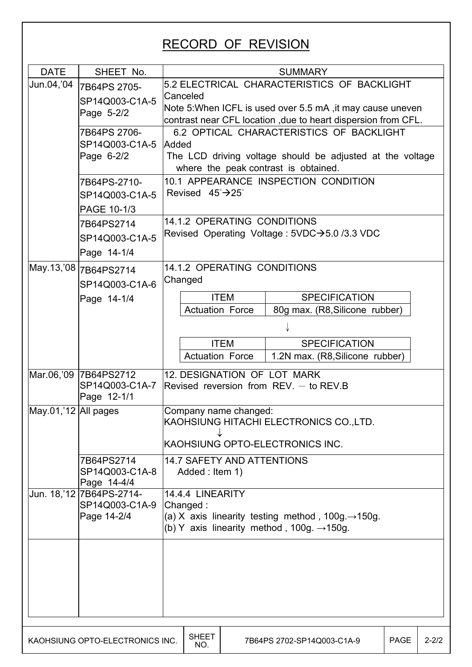## RECORD OF REVISION

| <b>DATE</b>          | SHEET No.                           |                                        |                                       | <b>SUMMARY</b>                                                                                                           |      |           |  |  |  |  |  |
|----------------------|-------------------------------------|----------------------------------------|---------------------------------------|--------------------------------------------------------------------------------------------------------------------------|------|-----------|--|--|--|--|--|
| Jun.04,'04           |                                     |                                        |                                       | 5.2 ELECTRICAL CHARACTERISTICS OF BACKLIGHT                                                                              |      |           |  |  |  |  |  |
|                      | 7B64PS 2705-                        | Canceled                               |                                       |                                                                                                                          |      |           |  |  |  |  |  |
|                      | SP14Q003-C1A-5                      |                                        |                                       | Note 5: When ICFL is used over 5.5 mA, it may cause uneven                                                               |      |           |  |  |  |  |  |
|                      | Page 5-2/2                          |                                        |                                       | contrast near CFL location , due to heart dispersion from CFL.                                                           |      |           |  |  |  |  |  |
|                      | 7B64PS 2706-                        |                                        |                                       | 6.2 OPTICAL CHARACTERISTICS OF BACKLIGHT                                                                                 |      |           |  |  |  |  |  |
|                      | SP14Q003-C1A-5                      | Added                                  |                                       |                                                                                                                          |      |           |  |  |  |  |  |
|                      | Page 6-2/2                          |                                        |                                       | The LCD driving voltage should be adjusted at the voltage                                                                |      |           |  |  |  |  |  |
|                      |                                     |                                        |                                       | where the peak contrast is obtained.                                                                                     |      |           |  |  |  |  |  |
|                      | 7B64PS-2710-                        |                                        |                                       | 10.1 APPEARANCE INSPECTION CONDITION                                                                                     |      |           |  |  |  |  |  |
|                      | SP14Q003-C1A-5                      | Revised $45^{\circ}$ $\rightarrow$ 25° |                                       |                                                                                                                          |      |           |  |  |  |  |  |
|                      | PAGE 10-1/3                         |                                        |                                       |                                                                                                                          |      |           |  |  |  |  |  |
|                      | 7B64PS2714                          | 14.1.2 OPERATING CONDITIONS            |                                       |                                                                                                                          |      |           |  |  |  |  |  |
|                      | SP14Q003-C1A-5                      |                                        |                                       | Revised Operating Voltage : 5VDC→5.0 /3.3 VDC                                                                            |      |           |  |  |  |  |  |
|                      | Page 14-1/4                         |                                        |                                       |                                                                                                                          |      |           |  |  |  |  |  |
|                      |                                     |                                        | <b>14.1.2 OPERATING CONDITIONS</b>    |                                                                                                                          |      |           |  |  |  |  |  |
|                      | SP14Q003-C1A-6                      | Changed                                |                                       |                                                                                                                          |      |           |  |  |  |  |  |
|                      | <b>SPECIFICATION</b>                |                                        |                                       |                                                                                                                          |      |           |  |  |  |  |  |
|                      | Page 14-1/4                         |                                        | <b>ITEM</b><br><b>Actuation Force</b> | 80g max. (R8, Silicone rubber)                                                                                           |      |           |  |  |  |  |  |
|                      |                                     |                                        |                                       |                                                                                                                          |      |           |  |  |  |  |  |
|                      |                                     |                                        |                                       |                                                                                                                          |      |           |  |  |  |  |  |
|                      | <b>ITEM</b><br><b>SPECIFICATION</b> |                                        |                                       |                                                                                                                          |      |           |  |  |  |  |  |
|                      |                                     |                                        | <b>Actuation Force</b>                | 1.2N max. (R8, Silicone rubber)                                                                                          |      |           |  |  |  |  |  |
|                      | Mar.06,'09 7B64PS2712               |                                        |                                       | 12. DESIGNATION OF LOT MARK                                                                                              |      |           |  |  |  |  |  |
|                      | SP14Q003-C1A-7                      |                                        |                                       | Revised reversion from $REV -$ to $REV.B$                                                                                |      |           |  |  |  |  |  |
|                      | Page 12-1/1                         |                                        |                                       |                                                                                                                          |      |           |  |  |  |  |  |
| May.01,'12 All pages |                                     | Company name changed:                  |                                       | KAOHSIUNG HITACHI ELECTRONICS CO., LTD.                                                                                  |      |           |  |  |  |  |  |
|                      |                                     |                                        |                                       |                                                                                                                          |      |           |  |  |  |  |  |
|                      |                                     |                                        |                                       | KAOHSIUNG OPTO-ELECTRONICS INC.                                                                                          |      |           |  |  |  |  |  |
|                      | 7B64PS2714                          | <b>14.7 SAFETY AND ATTENTIONS</b>      |                                       |                                                                                                                          |      |           |  |  |  |  |  |
|                      | SP14Q003-C1A-8                      | Added : Item 1)                        |                                       |                                                                                                                          |      |           |  |  |  |  |  |
|                      | Page 14-4/4                         |                                        |                                       |                                                                                                                          |      |           |  |  |  |  |  |
|                      | Jun. 18, '12 7B64PS-2714-           | 14.4.4 LINEARITY                       |                                       |                                                                                                                          |      |           |  |  |  |  |  |
|                      | SP14Q003-C1A-9<br>Page 14-2/4       | Changed:                               |                                       |                                                                                                                          |      |           |  |  |  |  |  |
|                      |                                     |                                        |                                       | (a) X axis linearity testing method, $100g \rightarrow 150g$ .<br>(b) Y axis linearity method, 100g. $\rightarrow$ 150g. |      |           |  |  |  |  |  |
|                      |                                     |                                        |                                       |                                                                                                                          |      |           |  |  |  |  |  |
|                      |                                     |                                        |                                       |                                                                                                                          |      |           |  |  |  |  |  |
|                      |                                     |                                        |                                       |                                                                                                                          |      |           |  |  |  |  |  |
|                      |                                     |                                        |                                       |                                                                                                                          |      |           |  |  |  |  |  |
|                      |                                     |                                        |                                       |                                                                                                                          |      |           |  |  |  |  |  |
|                      |                                     |                                        |                                       |                                                                                                                          |      |           |  |  |  |  |  |
|                      |                                     |                                        |                                       |                                                                                                                          |      |           |  |  |  |  |  |
|                      |                                     | <b>SHEET</b>                           |                                       |                                                                                                                          |      |           |  |  |  |  |  |
|                      | KAOHSIUNG OPTO-ELECTRONICS INC.     | NO.                                    |                                       | 7B64PS 2702-SP14Q003-C1A-9                                                                                               | PAGE | $2 - 2/2$ |  |  |  |  |  |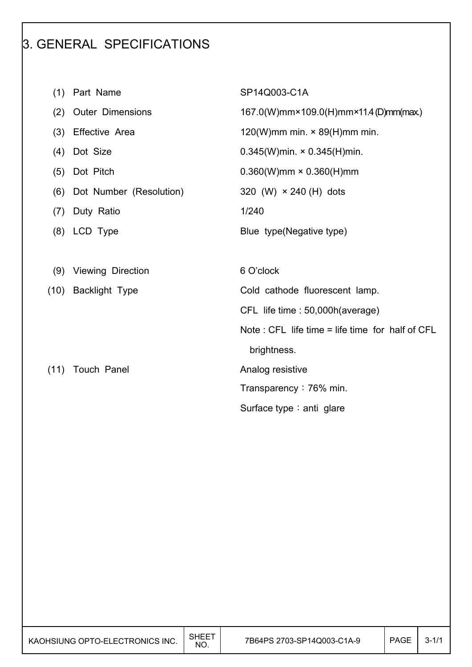## 3. GENERAL SPECIFICATIONS

- (1) Part Name SP14Q003-C1A
- 
- 
- 
- 
- (6) Dot Number (Resolution)  $320$  (W)  $\times$  240 (H) dots
- (7) Duty Ratio 1/240
- 
- (9) Viewing Direction 6 O'clock
- 
- 

 $\overline{\phantom{a}}$ 

 $\overline{\phantom{a}}$ 

(2) Outer Dimensions 167.0(W)mm×109.0(H)mm×11.4 (D)mm(max.)

(3) Effective Area  $120(W)$ mm min. × 89(H)mm min.

(4) Dot Size 0.345(W)min. × 0.345(H)min.

(5) Dot Pitch 0.360(W)mm × 0.360(H)mm

(8) LCD Type Blue type(Negative type)

(10) Backlight Type Cold cathode fluorescent lamp.

CFL life time : 50,000h(average)

Note : CFL life time = life time for half of CFL

brightness.

(11) Touch Panel **Analog resistive** 

Transparency: 76% min.

Surface type : anti glare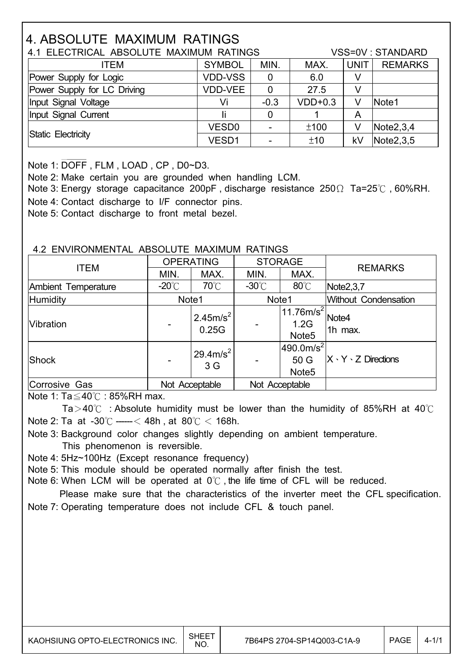## 4. ABSOLUTE MAXIMUM RATINGS

|                             | 4.1 ELECTRICAL ABSOLUTE MAXIMUM RATINGS |        |           |             |                |  |  |
|-----------------------------|-----------------------------------------|--------|-----------|-------------|----------------|--|--|
| ITEM                        | <b>SYMBOL</b>                           | MIN.   | MAX.      | <b>UNIT</b> | <b>REMARKS</b> |  |  |
| Power Supply for Logic      | <b>VDD-VSS</b>                          | 0      | 6.0       |             |                |  |  |
| Power Supply for LC Driving | <b>VDD-VEE</b>                          | 0      | 27.5      | V           |                |  |  |
| Input Signal Voltage        | Vi                                      | $-0.3$ | $VDD+0.3$ | V           | Note1          |  |  |
| Input Signal Current        |                                         | 0      |           | Α           |                |  |  |
|                             | VESD <sub>0</sub>                       |        | ±100      | V           | Note2,3,4      |  |  |
| Static Electricity          | VESD1                                   |        | ±10       | kV          | Note 2, 3, 5   |  |  |

Note 1: DOFF , FLM , LOAD , CP , D0~D3.

Note 2: Make certain you are grounded when handling LCM.

Note 3: Energy storage capacitance 200pF, discharge resistance 250 $\Omega$  Ta=25°C, 60%RH. Note 4: Contact discharge to I/F connector pins.

Note 5: Contact discharge to front metal bezel.

#### 4.2 ENVIRONMENTAL ABSOLUTE MAXIMUM RATINGS

| <b>ITEM</b>         |                 | <b>OPERATING</b>              | <b>STORAGE</b>  |                                                      | <b>REMARKS</b>                 |
|---------------------|-----------------|-------------------------------|-----------------|------------------------------------------------------|--------------------------------|
|                     | MIN.            | MAX.                          | MIN.            | MAX.                                                 |                                |
| Ambient Temperature | $-20^{\circ}$ C | $70^{\circ}$ C                | $-30^{\circ}$ C | $80^{\circ}$ C                                       | Note2,3,7                      |
| Humidity            | Note1           |                               | Note1           |                                                      | Without Condensation           |
| <b>Vibration</b>    |                 | 2.45m/s <sup>2</sup><br>0.25G |                 | 11.76m/s <sup>2</sup><br>1.2G<br>Note <sub>5</sub>   | Note4<br>1h max.               |
| <b>Shock</b>        |                 | $29.4 \text{m/s}^2$<br>3 G    |                 | $490.0$ m/s <sup>2</sup><br>50G<br>Note <sub>5</sub> | $X \cdot Y \cdot Z$ Directions |
| Corrosive Gas       |                 | Not Acceptable                |                 | Not Acceptable                                       |                                |

Note 1:  $Ta \leq 40^{\circ}$  : 85%RH max.

Ta > 40 $\degree$  : Absolute humidity must be lower than the humidity of 85%RH at 40 $\degree$ C Note 2: Ta at -30 $\degree$ C ----- < 48h, at 80 $\degree$ C < 168h.

 Note 3: Background color changes slightly depending on ambient temperature. This phenomenon is reversible.

Note 4: 5Hz~100Hz (Except resonance frequency)

Note 5: This module should be operated normally after finish the test.

Note 6: When LCM will be operated at  $0^{\circ}$ . the life time of CFL will be reduced.

 Please make sure that the characteristics of the inverter meet the CFL specification. Note 7: Operating temperature does not include CFL & touch panel.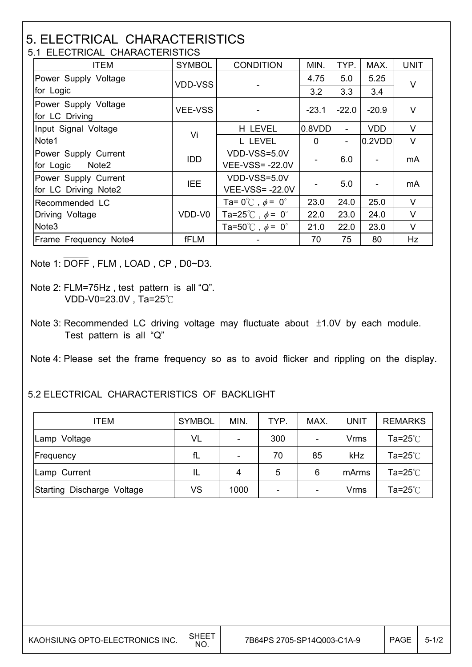#### 5. ELECTRICAL CHARACTERISTICS 5.1 ELECTRICAL CHARACTERISTICS

| <b>ITEM</b>                            | <b>SYMBOL</b>  | <b>CONDITION</b>                        | MIN.     | TYP.                     | MAX.       | <b>UNIT</b> |
|----------------------------------------|----------------|-----------------------------------------|----------|--------------------------|------------|-------------|
| Power Supply Voltage                   | <b>VDD-VSS</b> |                                         | 4.75     | 5.0                      | 5.25       | $\vee$      |
| for Logic                              |                |                                         |          | 3.3                      | 3.4        |             |
| Power Supply Voltage<br>for LC Driving | <b>VEE-VSS</b> |                                         | $-23.1$  | $-22.0$                  | $-20.9$    | V           |
| Input Signal Voltage                   | Vi             | H LEVEL                                 | 0.8VDD   | $\overline{\phantom{a}}$ | <b>VDD</b> | V           |
| Note1                                  |                | L LEVEL                                 | $\Omega$ | $\overline{\phantom{a}}$ | 0.2VDD     | V           |
| Power Supply Current                   | <b>IDD</b>     | VDD-VSS=5.0V                            |          | 6.0                      |            | mA          |
| for Logic<br>Note <sub>2</sub>         |                | <b>VEE-VSS=-22.0V</b>                   |          |                          |            |             |
| Power Supply Current                   | <b>IEE</b>     | VDD-VSS=5.0V                            |          | 5.0                      |            | mA          |
| for LC Driving Note2                   |                | <b>VEE-VSS=-22.0V</b>                   |          |                          |            |             |
| Recommended LC                         |                | Ta= $0^{\circ}$ C, $\phi$ = $0^{\circ}$ | 23.0     | 24.0                     | 25.0       | $\vee$      |
| Driving Voltage                        | VDD-V0         | Ta=25°C, $\phi$ = 0°                    | 22.0     | 23.0                     | 24.0       | $\vee$      |
| Note <sub>3</sub>                      |                | Ta=50°C, $\phi$ = 0°                    | 21.0     | 22.0                     | 23.0       | V           |
| Frame Frequency Note4                  | fFLM           |                                         | 70       | 75                       | 80         | Hz          |

Note 1: DOFF , FLM , LOAD , CP , D0~D3.

 $\overline{\phantom{a}}$ 

Note 3: Recommended LC driving voltage may fluctuate about  $±1.0V$  by each module. Test pattern is all "Q"

Note 4: Please set the frame frequency so as to avoid flicker and rippling on the display.

#### 5.2 ELECTRICAL CHARACTERISTICS OF BACKLIGHT

| <b>ITEM</b>                | <b>SYMBOL</b> | MIN.           | TYP. | MAX.                     | <b>UNIT</b> | <b>REMARKS</b> |
|----------------------------|---------------|----------------|------|--------------------------|-------------|----------------|
| Lamp Voltage               | VL            | $\overline{a}$ | 300  | $\overline{\phantom{0}}$ | Vrms        | Ta=25℃         |
| Frequency                  | fL            | $\overline{a}$ | 70   | 85                       | kHz         | Ta=25℃         |
| Lamp Current               | IL            | 4              | 5    | 6                        | mArms       | Ta=25 $°C$     |
| Starting Discharge Voltage | <b>VS</b>     | 1000           |      | -                        | <b>Vrms</b> | Ta=25℃         |

Note 2: FLM=75Hz , test pattern is all "Q". VDD-V0=23.0V, Ta=25 $°C$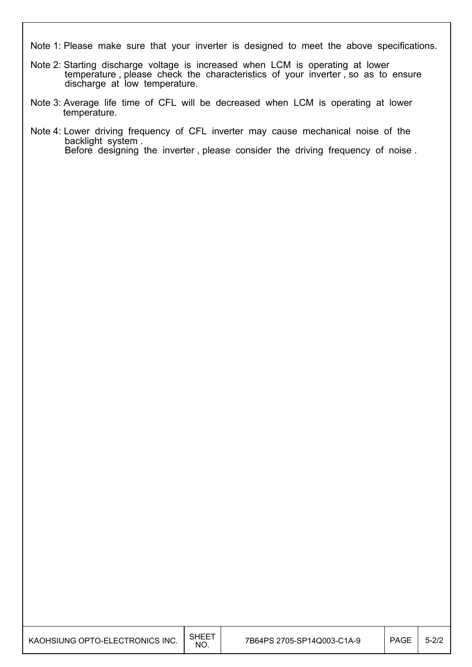Note 1: Please make sure that your inverter is designed to meet the above specifications.

- Note 2: Starting discharge voltage is increased when LCM is operating at lower temperature, please check the characteristics of your inverter, so as to ensure discharge at low temperature.
- Note 3: Average life time of CFL will be decreased when LCM is operating at lower temperature.
- Note 4: Lower driving frequency of CFL inverter may cause mechanical noise of the backlight system . Before designing the inverter , please consider the driving frequency of noise .

I

I

I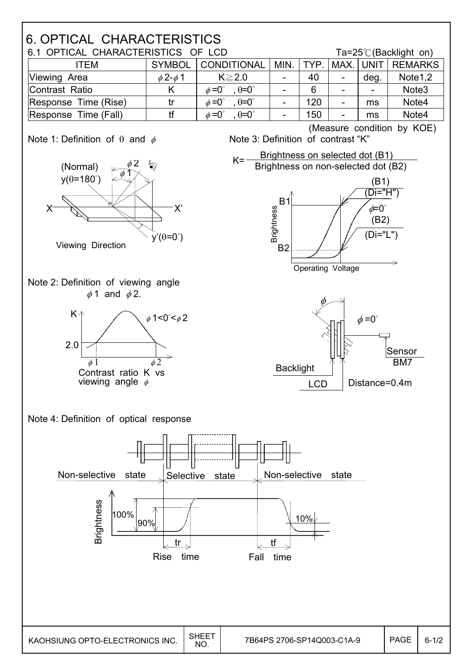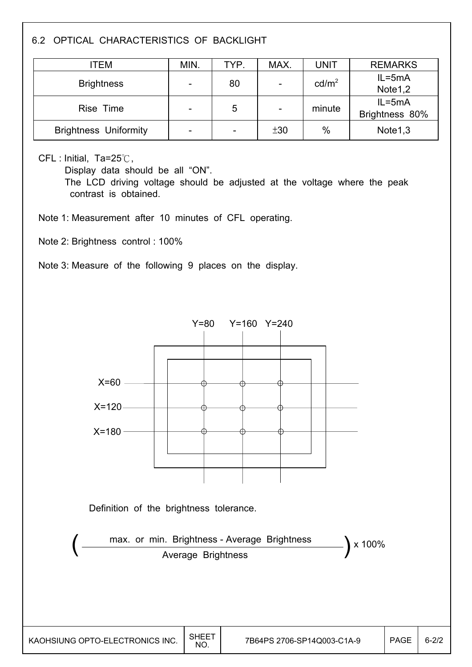### 6.2 OPTICAL CHARACTERISTICS OF BACKLIGHT

| ITEM                         | MIN. | TYP. | MAX.                     | UNIT              | <b>REMARKS</b>      |
|------------------------------|------|------|--------------------------|-------------------|---------------------|
| <b>Brightness</b>            |      | 80   |                          | cd/m <sup>2</sup> | $IL = 5mA$          |
|                              |      |      | $\blacksquare$           |                   | Note <sub>1,2</sub> |
| Rise Time                    |      | 5    |                          | minute            | $IL = 5mA$          |
|                              |      |      | $\overline{\phantom{a}}$ |                   | Brightness 80%      |
| <b>Brightness Uniformity</b> |      |      | ±30                      | $\%$              | Note <sub>1,3</sub> |

#### $CFL$ : Initial, Ta=25 $°C$ ,

 $\overline{\phantom{a}}$ 

 $\overline{\phantom{a}}$ 

Display data should be all "ON".

 The LCD driving voltage should be adjusted at the voltage where the peak contrast is obtained.

Note 1: Measurement after 10 minutes of CFL operating.

Note 2: Brightness control : 100%

Note 3: Measure of the following 9 places on the display.

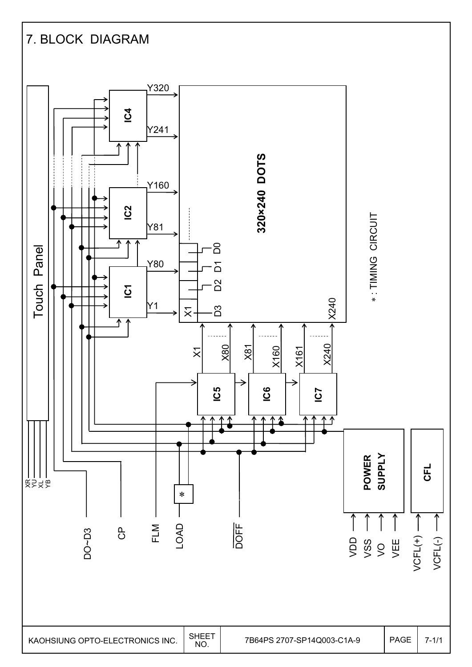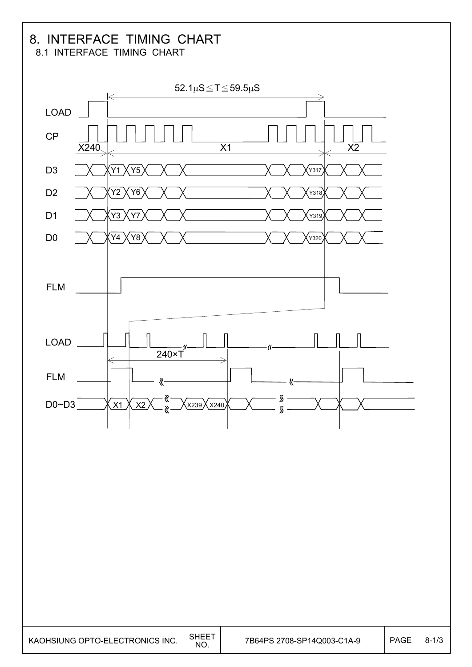#### 8. INTERFACE TIMING CHART 8.1 INTERFACE TIMING CHART

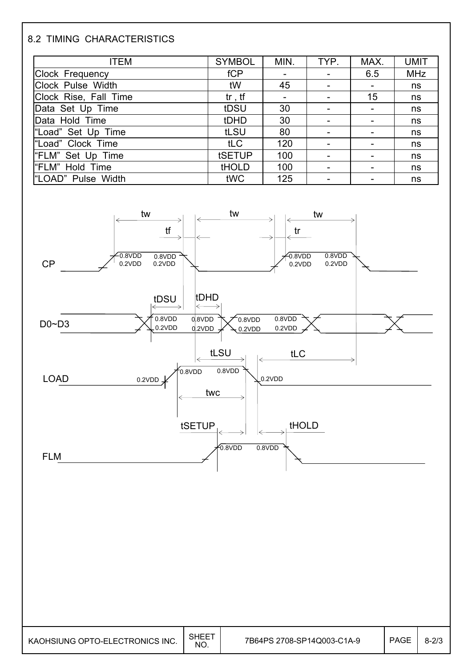### 8.2 TIMING CHARACTERISTICS

| <b>ITEM</b>            | <b>SYMBOL</b> | MIN.                     | TYP.                     | MAX.                     | <b>UMIT</b> |
|------------------------|---------------|--------------------------|--------------------------|--------------------------|-------------|
| <b>Clock Frequency</b> | fCP           | $\overline{\phantom{a}}$ | $\overline{\phantom{a}}$ | 6.5                      | <b>MHz</b>  |
| Clock Pulse Width      | tW            | 45                       |                          |                          | ns          |
| Clock Rise, Fall Time  | $tr$ , $tf$   | $\overline{\phantom{a}}$ | $\overline{\phantom{a}}$ | 15                       | ns          |
| Data Set Up Time       | tDSU          | 30                       |                          |                          | ns          |
| Data Hold Time         | tDHD          | 30                       |                          |                          | ns          |
| "Load" Set Up Time     | tLSU          | 80                       |                          | $\overline{\phantom{0}}$ | ns          |
| "Load" Clock Time      | tLC           | 120                      |                          |                          | ns          |
| "FLM" Set Up Time      | tSETUP        | 100                      | $\overline{\phantom{a}}$ |                          | ns          |
| "FLM" Hold Time        | <b>tHOLD</b>  | 100                      |                          |                          | ns          |
| "LOAD" Pulse Width     | tWC           | 125                      |                          |                          | ns          |

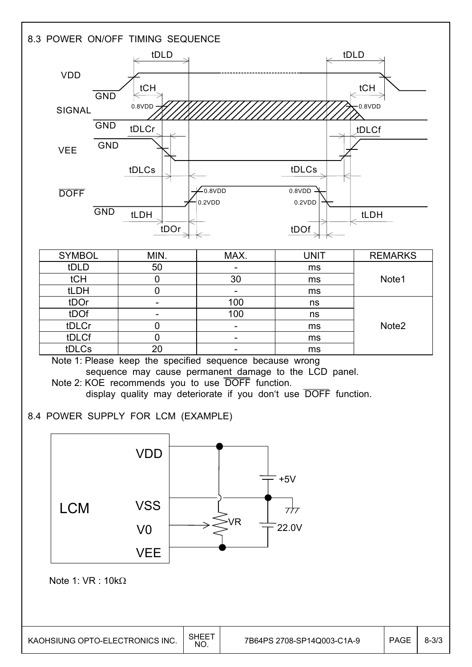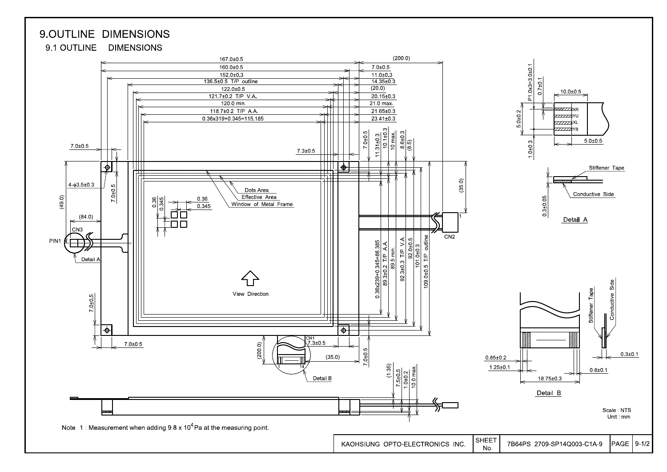





Unit mm

Side

Conductive \$

Note 1: Measurement when adding  $9.8 \times 10^4$  Pa at the measuring point.

KAOHSIUNG OPTO-ELECTRONICS INC.

**SHEET** 

No.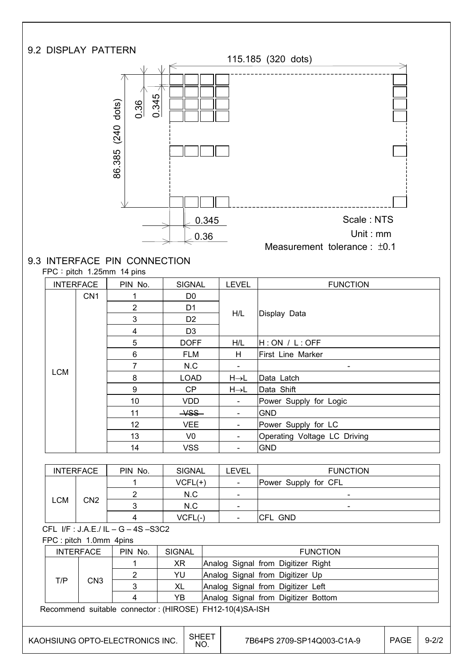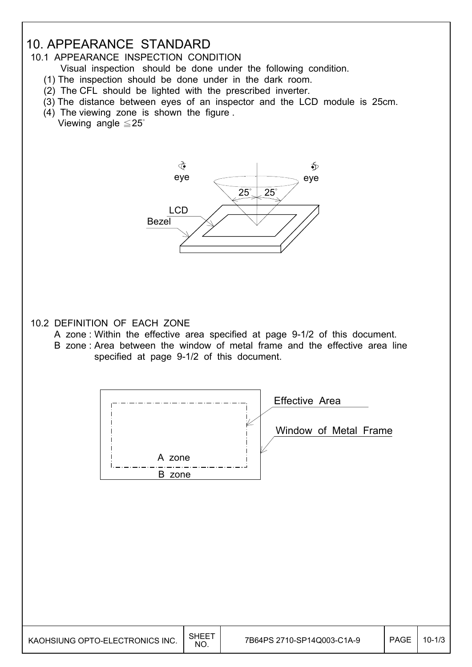## 10. APPEARANCE STANDARD

#### 10.1 APPEARANCE INSPECTION CONDITION

- Visual inspection should be done under the following condition.
- (1) The inspection should be done under in the dark room.
- (2) The CFL should be lighted with the prescribed inverter.
- (3) The distance between eyes of an inspector and the LCD module is 25cm.
- (4) The viewing zone is shown the figure . Viewing angle  $\leq 25^\circ$



#### 10.2 DEFINITION OF EACH ZONE

- A zone : Within the effective area specified at page 9-1/2 of this document.
- B zone : Area between the window of metal frame and the effective area line specified at page 9-1/2 of this document.



| KAOHSIUNG OPTO-ELECTRONICS INC. | SHEET<br>NO. | 7B64PS 2710-SP14Q003-C1A-9 | <b>PAGE</b> | $10 - 1/3$ |
|---------------------------------|--------------|----------------------------|-------------|------------|
|---------------------------------|--------------|----------------------------|-------------|------------|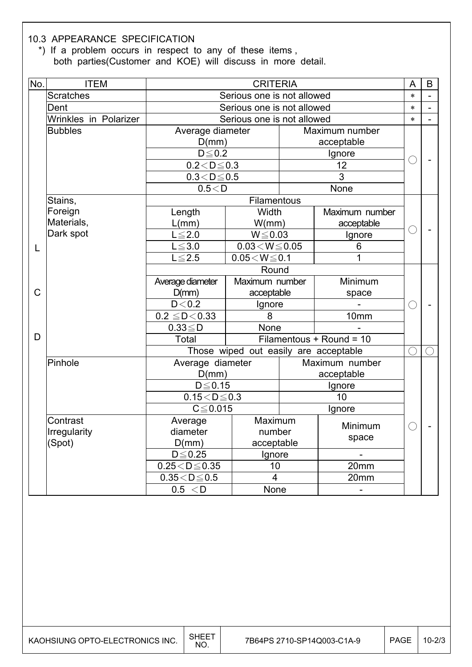#### 10.3 APPEARANCE SPECIFICATION

 \*) If a problem occurs in respect to any of these items , both parties(Customer and KOE) will discuss in more detail.

| No. | <b>ITEM</b>           | <b>CRITERIA</b>                  |                                       |        |                          |            | B |
|-----|-----------------------|----------------------------------|---------------------------------------|--------|--------------------------|------------|---|
|     | <b>Scratches</b>      |                                  | Serious one is not allowed            |        |                          | $\ast$     |   |
|     | Dent                  |                                  | Serious one is not allowed            |        |                          | $\ast$     |   |
|     | Wrinkles in Polarizer |                                  | Serious one is not allowed            |        |                          | $\ast$     |   |
|     | <b>Bubbles</b>        | Average diameter                 |                                       |        | Maximum number           |            |   |
|     |                       | D(mm)                            |                                       |        | acceptable               |            |   |
|     |                       | $D \leq 0.2$                     |                                       |        | Ignore                   |            |   |
|     |                       | $0.2 < D \leq 0.3$               |                                       |        | 12                       | C          |   |
|     |                       | $0.3 < D \le 0.5$                |                                       |        | 3                        |            |   |
|     |                       |                                  | 0.5 < D                               |        | None                     |            |   |
|     | Stains,               |                                  | Filamentous                           |        |                          |            |   |
|     | Foreign               | Length                           | Width                                 |        | Maximum number           |            |   |
|     | Materials,            | L(mm)                            | W/mm)                                 |        | acceptable               | ○          |   |
|     | Dark spot             | $L \leq 2.0$                     | $W \le 0.03$                          |        | Ignore                   |            |   |
| L   |                       | $L \le 3.0$                      | $0.03\!<\!W\!\leq\!0.05$              |        | 6                        |            |   |
|     |                       | $L \leq 2.5$                     | $0.05\!<\!W\!\leq\!0.1$<br>1          |        |                          |            |   |
|     |                       |                                  | Round                                 |        |                          |            |   |
|     |                       | Average diameter                 | Maximum number                        |        | Minimum                  |            |   |
| C   |                       | D(mm)                            | acceptable                            |        | space                    |            |   |
|     |                       | D < 0.2                          | Ignore                                |        |                          | C          |   |
|     |                       | $0.2 \leq D < 0.33$              | 8                                     |        | 10mm                     |            |   |
|     |                       | $0.33 \leq D$                    | None                                  |        |                          |            |   |
| D   |                       | Total                            |                                       |        | Filamentous + Round = 10 |            |   |
|     |                       |                                  | Those wiped out easily are acceptable |        |                          | $\bigcirc$ |   |
|     | Pinhole               | Average diameter                 |                                       |        | Maximum number           |            |   |
|     |                       | D(mm)                            |                                       |        | acceptable               |            |   |
|     |                       | $D \leq 0.15$                    |                                       |        | Ignore                   |            |   |
|     |                       | $\overline{0.15}$ < D $\leq$ 0.3 |                                       |        | 10                       |            |   |
|     |                       | $C \leq 0.015$                   |                                       | Ignore |                          |            |   |
|     | Contrast              | Average                          | Maximum                               |        | Minimum                  |            |   |
|     | Irregularity          | diameter                         | number                                |        | space                    |            |   |
|     | (Spot)                | D(mm)<br>acceptable              |                                       |        |                          |            |   |
|     |                       | $D \leq 0.25$                    | Ignore                                |        | $\overline{\phantom{0}}$ |            |   |
|     |                       | $0.25 < D \le 0.35$              | 10                                    |        | 20mm                     |            |   |
|     |                       | $0.35 < D \le 0.5$               | $\overline{\mathbf{4}}$               |        | 20mm                     |            |   |
|     |                       | 0.5 < D                          | None                                  |        | $\overline{\phantom{0}}$ |            |   |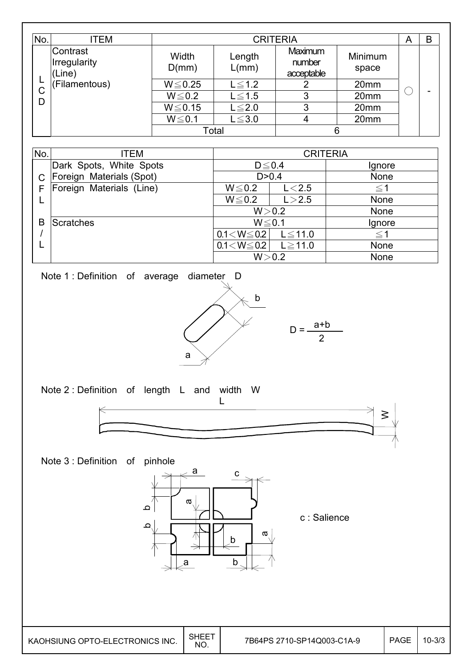| No.                                | ITEM               |                | A               | B                               |                  |  |   |
|------------------------------------|--------------------|----------------|-----------------|---------------------------------|------------------|--|---|
| Contrast<br>Irregularity<br>(Line) |                    | Width<br>D(mm) | Length<br>L/mm) | Maximum<br>number<br>acceptable | Minimum<br>space |  |   |
|                                    | (Filamentous)<br>С | $W \le 0.25$   | $L \leq 1.2$    |                                 | 20mm             |  |   |
| D                                  |                    | $W \le 0.2$    | $L \leq 1.5$    | 3                               | 20mm             |  | - |
|                                    |                    | $W \le 0.15$   | $L \leq 2.0$    | 3                               | 20mm             |  |   |
|                                    |                    | $W \le 0.1$    | $L \leq 3.0$    | 4                               | 20mm             |  |   |
|                                    |                    | Total          |                 | 6                               |                  |  |   |

| No. | ITEM                     | <b>CRITERIA</b>   |              |             |  |
|-----|--------------------------|-------------------|--------------|-------------|--|
|     | Dark Spots, White Spots  | $D \le 0.4$       |              | Ignore      |  |
|     | Foreign Materials (Spot) | D > 0.4           |              | <b>None</b> |  |
|     | Foreign Materials (Line) | $W \le 0.2$       | L < 2.5      | $\leq$ 1    |  |
|     |                          | $W \le 0.2$       | L > 2.5      | None        |  |
|     |                          |                   | W > 0.2      | <b>None</b> |  |
| В   | <b>Scratches</b>         | $W \le 0.1$       |              | Ignore      |  |
|     |                          | $0.1 < W \le 0.2$ | $L \le 11.0$ | $\leq$ 1    |  |
|     |                          | $0.1 < W \le 0.2$ | $L \ge 11.0$ | <b>None</b> |  |
|     |                          |                   | W > 0.2      | None        |  |

Note 1 : Definition of average diameter D







Note 3 : Definition of pinhole



c : Salience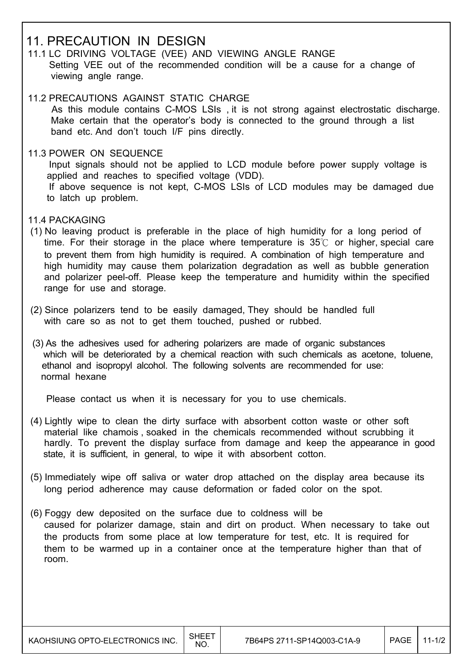### 11. PRECAUTION IN DESIGN

- 11.1 LC DRIVING VOLTAGE (VEE) AND VIEWING ANGLE RANGE Setting VEE out of the recommended condition will be a cause for a change of viewing angle range.
- 11.2 PRECAUTIONS AGAINST STATIC CHARGE As this module contains C-MOS LSIs , it is not strong against electrostatic discharge. Make certain that the operator's body is connected to the ground through a list band etc. And don't touch I/F pins directly.
- 11.3 POWER ON SEQUENCE

 Input signals should not be applied to LCD module before power supply voltage is applied and reaches to specified voltage (VDD). If above sequence is not kept, C-MOS LSIs of LCD modules may be damaged due to latch up problem.

- 11.4 PACKAGING
- (1) No leaving product is preferable in the place of high humidity for a long period of time. For their storage in the place where temperature is  $35^{\circ}$  or higher, special care to prevent them from high humidity is required. A combination of high temperature and high humidity may cause them polarization degradation as well as bubble generation and polarizer peel-off. Please keep the temperature and humidity within the specified range for use and storage.
- (2) Since polarizers tend to be easily damaged, They should be handled full with care so as not to get them touched, pushed or rubbed.
- (3) As the adhesives used for adhering polarizers are made of organic substances which will be deteriorated by a chemical reaction with such chemicals as acetone, toluene, ethanol and isopropyl alcohol. The following solvents are recommended for use: normal hexane

Please contact us when it is necessary for you to use chemicals.

- (4) Lightly wipe to clean the dirty surface with absorbent cotton waste or other soft material like chamois , soaked in the chemicals recommended without scrubbing it hardly. To prevent the display surface from damage and keep the appearance in good state, it is sufficient, in general, to wipe it with absorbent cotton.
- (5) Immediately wipe off saliva or water drop attached on the display area because its long period adherence may cause deformation or faded color on the spot.
- (6) Foggy dew deposited on the surface due to coldness will be caused for polarizer damage, stain and dirt on product. When necessary to take out the products from some place at low temperature for test, etc. It is required for them to be warmed up in a container once at the temperature higher than that of room.

 $\overline{\phantom{a}}$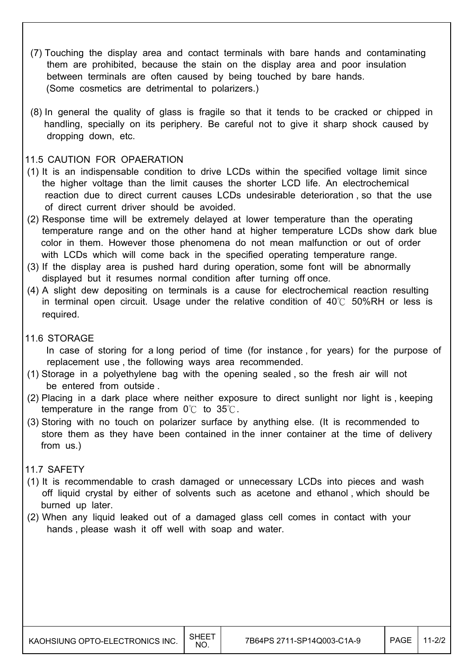- (7) Touching the display area and contact terminals with bare hands and contaminating them are prohibited, because the stain on the display area and poor insulation between terminals are often caused by being touched by bare hands. (Some cosmetics are detrimental to polarizers.)
- (8) In general the quality of glass is fragile so that it tends to be cracked or chipped in handling, specially on its periphery. Be careful not to give it sharp shock caused by dropping down, etc.

#### 11.5 CAUTION FOR OPAERATION

- (1) It is an indispensable condition to drive LCDs within the specified voltage limit since the higher voltage than the limit causes the shorter LCD life. An electrochemical reaction due to direct current causes LCDs undesirable deterioration , so that the use of direct current driver should be avoided.
- (2) Response time will be extremely delayed at lower temperature than the operating temperature range and on the other hand at higher temperature LCDs show dark blue color in them. However those phenomena do not mean malfunction or out of order with LCDs which will come back in the specified operating temperature range.
- (3) If the display area is pushed hard during operation, some font will be abnormally displayed but it resumes normal condition after turning off once.
- (4) A slight dew depositing on terminals is a cause for electrochemical reaction resulting in terminal open circuit. Usage under the relative condition of  $40^{\circ}$  50%RH or less is required.
- 11.6 STORAGE

 In case of storing for a long period of time (for instance , for years) for the purpose of replacement use , the following ways area recommended.

- (1) Storage in a polyethylene bag with the opening sealed , so the fresh air will not be entered from outside .
- (2) Placing in a dark place where neither exposure to direct sunlight nor light is , keeping temperature in the range from  $0^{\circ}$  to  $35^{\circ}$ .
- (3) Storing with no touch on polarizer surface by anything else. (It is recommended to store them as they have been contained in the inner container at the time of delivery from us.)

#### 11.7 SAFETY

- (1) It is recommendable to crash damaged or unnecessary LCDs into pieces and wash off liquid crystal by either of solvents such as acetone and ethanol , which should be burned up later.
- (2) When any liquid leaked out of a damaged glass cell comes in contact with your hands , please wash it off well with soap and water.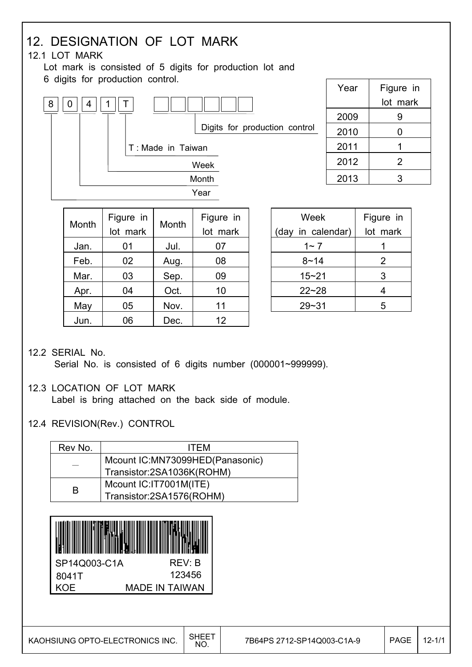#### 12. DESIGNATION OF LOT MARK 12.1 LOT MARK Lot mark is consisted of 5 digits for production lot and 6 digits for production control. Week (day in calendar) Figure in lot mark  $1~ 7$  | 1 Month Figure in lot mark Month Figure in lot mark Jan. 01 Jul. 07 Year | Figure in lot mark  $2009$  9 2010 0 2011 1  $2012$  2  $2013$  3  $8 || 0 || 4 || 1$ Year Month Week T Digits for production control T : Made in Taiwan

| JdII. | UΙ | JUI. | u7 |
|-------|----|------|----|
| Feb.  | 02 | Aug. | 08 |
| Mar.  | 03 | Sep. | 09 |
| Apr.  | 04 | Oct. | 10 |
| May   | 05 | Nov. | 11 |
| Jun.  | 06 | Dec. | 12 |
|       |    |      |    |

| Week              | Figure in |
|-------------------|-----------|
| (day in calendar) | lot mark  |
| 1~ 7              |           |
| 8~14              | 2         |
| $15 - 21$         | 3         |
| $22 - 28$         | 4         |
| $29 - 31$         | 5         |

### 12.2 SERIAL No.

Serial No. is consisted of 6 digits number (000001~999999).

#### 12.3 LOCATION OF LOT MARK

Label is bring attached on the back side of module.

#### 12.4 REVISION(Rev.) CONTROL

| Rev No. | <b>ITFM</b>                     |
|---------|---------------------------------|
|         | Mcount IC:MN73099HED(Panasonic) |
|         | Transistor:2SA1036K(ROHM)       |
| R       | Mcount IC: IT7001M(ITE)         |
|         | Transistor:2SA1576(ROHM)        |
|         |                                 |

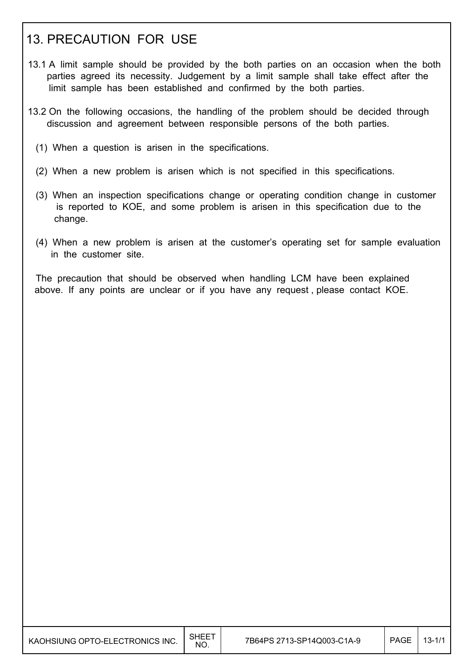## 13. PRECAUTION FOR USE

- 13.1 A limit sample should be provided by the both parties on an occasion when the both parties agreed its necessity. Judgement by a limit sample shall take effect after the limit sample has been established and confirmed by the both parties.
- 13.2 On the following occasions, the handling of the problem should be decided through discussion and agreement between responsible persons of the both parties.
	- (1) When a question is arisen in the specifications.
	- (2) When a new problem is arisen which is not specified in this specifications.
	- (3) When an inspection specifications change or operating condition change in customer is reported to KOE, and some problem is arisen in this specification due to the change.
	- (4) When a new problem is arisen at the customer's operating set for sample evaluation in the customer site.

 The precaution that should be observed when handling LCM have been explained above. If any points are unclear or if you have any request , please contact KOE.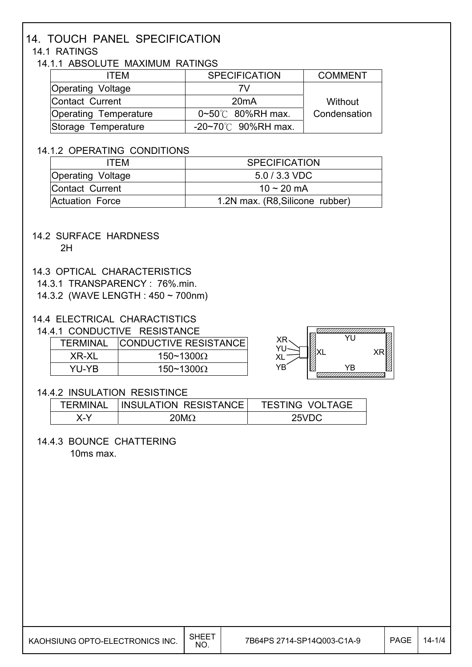## 14. TOUCH PANEL SPECIFICATION

### 14.1 RATINGS

#### 14.1.1 ABSOLUTE MAXIMUM RATINGS

| <b>ITFM</b>           | <b>SPECIFICATION</b>             | <b>COMMENT</b> |
|-----------------------|----------------------------------|----------------|
| Operating Voltage     | 7V                               |                |
| Contact Current       | 20 <sub>m</sub> A                | Without        |
| Operating Temperature | $0 \sim 50^{\circ}$ 80%RH max.   | Condensation   |
| Storage Temperature   | $-20 \sim 70^{\circ}$ 90%RH max. |                |

#### 14.1.2 OPERATING CONDITIONS

| ITFM                     | <b>SPECIFICATION</b>            |
|--------------------------|---------------------------------|
| <b>Operating Voltage</b> | $5.0 / 3.3 \text{ VDC}$         |
| Contact Current          | 10 ~ 20 mA                      |
| Actuation Force          | 1.2N max. (R8, Silicone rubber) |

#### 14.2 SURFACE HARDNESS

2H

 $\overline{\phantom{a}}$ 

 $\overline{\phantom{a}}$ 

 $\overline{\phantom{a}}$ 

 $\overline{\phantom{a}}$ 

#### 14.3 OPTICAL CHARACTERISTICS

14.3.1 TRANSPARENCY : 76%.min.

14.3.2 (WAVE LENGTH : 450 ~ 700nm)

#### 14.4 ELECTRICAL CHARACTISTICS

14.4.1 CONDUCTIVE RESISTANCE

| <b>TERMINAL</b> | <b>CONDUCTIVE RESISTANCE</b> |
|-----------------|------------------------------|
| XR-XL           | 150~1300 $\Omega$            |
| YU-YR           | 150~1300 $\Omega$            |



#### 14.4.2 INSULATION RESISTINCE

| TFRMINAL | <b>INSULATION RESISTANCE</b> | <b>TESTING VOLTAGE</b> |
|----------|------------------------------|------------------------|
| X-Y      | $20M\Omega$                  | 25VDC                  |

#### 14.4.3 BOUNCE CHATTERING

10ms max.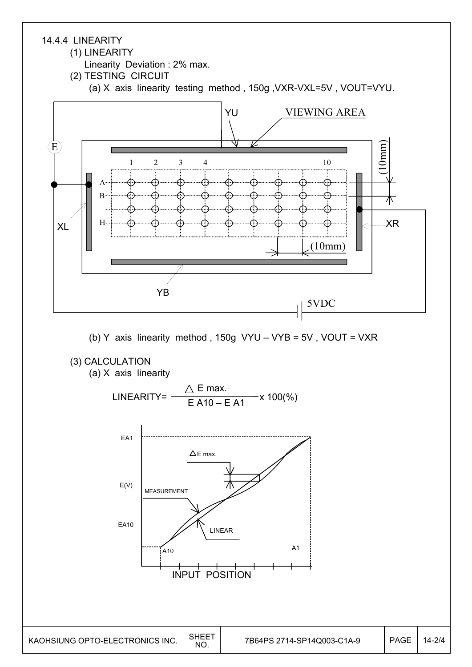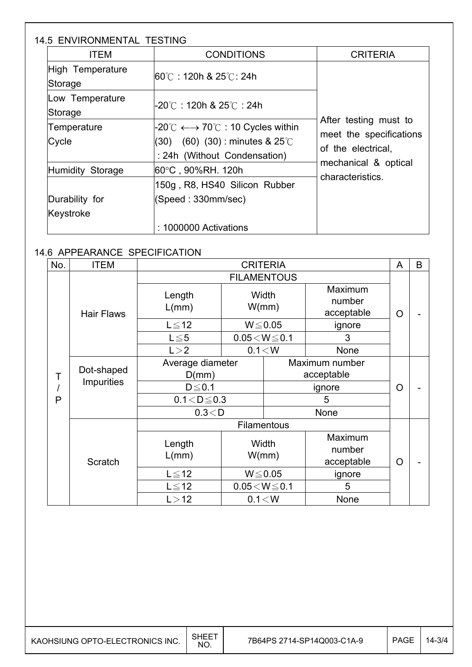### 14.5 ENVIRONMENTAL TESTING

| <b>ITEM</b>                 | <b>CONDITIONS</b>                                                                                                                                  | <b>CRITERIA</b>                                                        |  |
|-----------------------------|----------------------------------------------------------------------------------------------------------------------------------------------------|------------------------------------------------------------------------|--|
| High Temperature<br>Storage | l60℃ : 120h & 25℃: 24h                                                                                                                             |                                                                        |  |
| Low Temperature<br>Storage  | -20℃:120h & 25℃:24h                                                                                                                                |                                                                        |  |
| Temperature<br>Cycle        | $-20^{\circ}$ C $\longleftrightarrow$ 70 $^{\circ}$ C : 10 Cycles within<br>$(60)$ $(30)$ : minutes & 25°C<br>(30)<br>: 24h (Without Condensation) | After testing must to<br>meet the specifications<br>of the electrical. |  |
| Humidity Storage            | 60°C , 90%RH. 120h<br>150g, R8, HS40 Silicon Rubber                                                                                                | mechanical & optical<br>characteristics.                               |  |
| Durability for<br>Keystroke | (Speed: 330mm/sec)<br>: 1000000 Activations                                                                                                        |                                                                        |  |

### 14.6 APPEARANCE SPECIFICATION

I

I

 $\overline{\phantom{a}}$ 

| No. | <b>ITEM</b>                               | <b>CRITERIA</b>           |                              | A              | B                               |          |  |
|-----|-------------------------------------------|---------------------------|------------------------------|----------------|---------------------------------|----------|--|
|     |                                           | <b>FILAMENTOUS</b>        |                              |                |                                 |          |  |
|     | <b>Hair Flaws</b>                         | Length<br>L/mm)           | Width<br>W/mm)               |                | Maximum<br>number<br>acceptable | $\Omega$ |  |
|     |                                           | $L \leq 12$               |                              | $W \le 0.05$   | ignore                          |          |  |
|     |                                           | $L \leq 5$                | $0.05\!<\!W\!\leq\!0.1$<br>3 |                |                                 |          |  |
|     |                                           | L > 2                     |                              | 0.1 < W        | None                            |          |  |
| Τ   | Dot-shaped                                | Average diameter<br>D(mm) |                              |                | Maximum number<br>acceptable    |          |  |
|     | Impurities                                | $D \le 0.1$               |                              |                | ignore                          |          |  |
| P   |                                           |                           | $0.1 < D \le 0.3$            |                | 5                               |          |  |
|     |                                           | 0.3 < D                   |                              |                | None                            |          |  |
|     |                                           |                           |                              | Filamentous    |                                 |          |  |
|     | Length<br>L/mm)<br>Scratch<br>$L \leq 12$ |                           |                              | Width<br>W/mm) | Maximum<br>number<br>acceptable | $\circ$  |  |
|     |                                           |                           |                              | $W \le 0.05$   | ignore                          |          |  |
|     |                                           | $L \leq 12$               | $0.05\!<\!W\!\leq\!0.1$      |                | 5                               |          |  |
|     |                                           | L > 12                    |                              | 0.1 < W        | None                            |          |  |